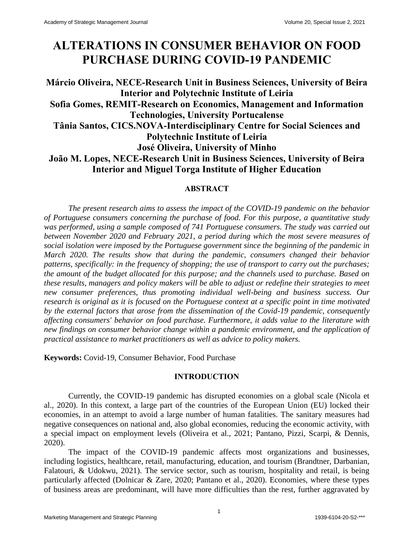# **ALTERATIONS IN CONSUMER BEHAVIOR ON FOOD PURCHASE DURING COVID-19 PANDEMIC**

# **Márcio Oliveira, NECE-Research Unit in Business Sciences, University of Beira Interior and Polytechnic Institute of Leiria Sofia Gomes, REMIT-Research on Economics, Management and Information Technologies, University Portucalense Tânia Santos, CICS.NOVA-Interdisciplinary Centre for Social Sciences and Polytechnic Institute of Leiria José Oliveira, University of Minho João M. Lopes, NECE-Research Unit in Business Sciences, University of Beira Interior and Miguel Torga Institute of Higher Education**

# **ABSTRACT**

*The present research aims to assess the impact of the COVID-19 pandemic on the behavior of Portuguese consumers concerning the purchase of food. For this purpose, a quantitative study was performed, using a sample composed of 741 Portuguese consumers. The study was carried out between November 2020 and February 2021, a period during which the most severe measures of social isolation were imposed by the Portuguese government since the beginning of the pandemic in March 2020. The results show that during the pandemic, consumers changed their behavior patterns, specifically: in the frequency of shopping; the use of transport to carry out the purchases; the amount of the budget allocated for this purpose; and the channels used to purchase. Based on these results, managers and policy makers will be able to adjust or redefine their strategies to meet new consumer preferences, thus promoting individual well-being and business success. Our research is original as it is focused on the Portuguese context at a specific point in time motivated by the external factors that arose from the dissemination of the Covid-19 pandemic, consequently affecting consumers' behavior on food purchase. Furthermore, it adds value to the literature with new findings on consumer behavior change within a pandemic environment, and the application of practical assistance to market practitioners as well as advice to policy makers.*

**Keywords:** Covid-19, Consumer Behavior, Food Purchase

# **INTRODUCTION**

Currently, the COVID-19 pandemic has disrupted economies on a global scale (Nicola et al., 2020). In this context, a large part of the countries of the European Union (EU) locked their economies, in an attempt to avoid a large number of human fatalities. The sanitary measures had negative consequences on national and, also global economies, reducing the economic activity, with a special impact on employment levels (Oliveira et al., 2021; Pantano, Pizzi, Scarpi, & Dennis, 2020).

The impact of the COVID-19 pandemic affects most organizations and businesses, including logistics, healthcare, retail, manufacturing, education, and tourism (Brandtner, Darbanian, Falatouri, & Udokwu, 2021). The service sector, such as tourism, hospitality and retail, is being particularly affected (Dolnicar & Zare, 2020; Pantano et al., 2020). Economies, where these types of business areas are predominant, will have more difficulties than the rest, further aggravated by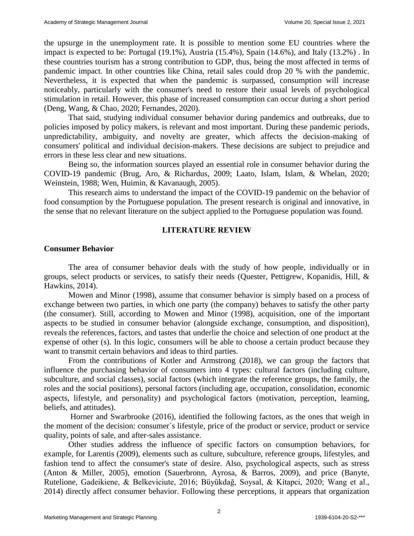the upsurge in the unemployment rate. It is possible to mention some EU countries where the impact is expected to be: Portugal (19.1%), Austria (15.4%), Spain (14.6%), and Italy (13.2%) . In these countries tourism has a strong contribution to GDP, thus, being the most affected in terms of pandemic impact. In other countries like China, retail sales could drop 20 % with the pandemic. Nevertheless, it is expected that when the pandemic is surpassed, consumption will increase noticeably, particularly with the consumer's need to restore their usual levels of psychological stimulation in retail. However, this phase of increased consumption can occur during a short period (Deng, Wang, & Chao, 2020; Fernandes, 2020).

That said, studying individual consumer behavior during pandemics and outbreaks, due to policies imposed by policy makers, is relevant and most important. During these pandemic periods, unpredictability, ambiguity, and novelty are greater, which affects the decision-making of consumers' political and individual decision-makers. These decisions are subject to prejudice and errors in these less clear and new situations.

Being so, the information sources played an essential role in consumer behavior during the COVID-19 pandemic (Brug, Aro, & Richardus, 2009; Laato, Islam, Islam, & Whelan, 2020; Weinstein, 1988; Wen, Huimin, & Kavanaugh, 2005).

This research aims to understand the impact of the COVID-19 pandemic on the behavior of food consumption by the Portuguese population. The present research is original and innovative, in the sense that no relevant literature on the subject applied to the Portuguese population was found.

# **LITERATURE REVIEW**

#### **Consumer Behavior**

The area of consumer behavior deals with the study of how people, individually or in groups, select products or services, to satisfy their needs (Quester, Pettigrew, Kopanidis, Hill, & Hawkins, 2014).

Mowen and Minor (1998), assume that consumer behavior is simply based on a process of exchange between two parties, in which one party (the company) behaves to satisfy the other party (the consumer). Still, according to Mowen and Minor (1998), acquisition, one of the important aspects to be studied in consumer behavior (alongside exchange, consumption, and disposition), reveals the references, factors, and tastes that underlie the choice and selection of one product at the expense of other (s). In this logic, consumers will be able to choose a certain product because they want to transmit certain behaviors and ideas to third parties.

From the contributions of Kotler and Armstrong (2018), we can group the factors that influence the purchasing behavior of consumers into 4 types: cultural factors (including culture, subculture, and social classes), social factors (which integrate the reference groups, the family, the roles and the social positions), personal factors (including age, occupation, consolidation, economic aspects, lifestyle, and personality) and psychological factors (motivation, perception, learning, beliefs, and attitudes).

Horner and Swarbrooke (2016), identified the following factors, as the ones that weigh in the moment of the decision: consumer´s lifestyle, price of the product or service, product or service quality, points of sale, and after-sales assistance.

Other studies address the influence of specific factors on consumption behaviors, for example, for Larentis (2009), elements such as culture, subculture, reference groups, lifestyles, and fashion tend to affect the consumer's state of desire. Also, psychological aspects, such as stress (Anton & Miller, 2005), emotion (Sauerbronn, Ayrosa, & Barros, 2009), and price (Banyte, Rutelione, Gadeikiene, & Belkeviciute, 2016; Büyükdağ, Soysal, & Kitapci, 2020; Wang et al., 2014) directly affect consumer behavior. Following these perceptions, it appears that organization

2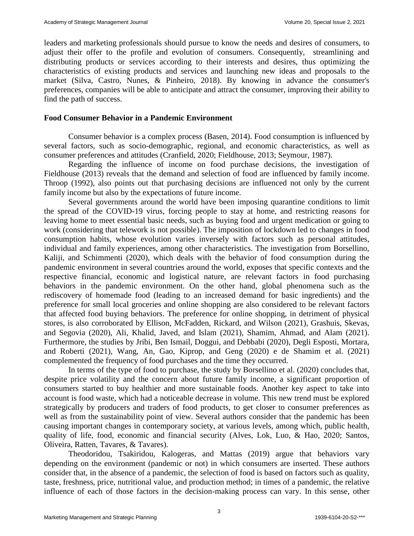leaders and marketing professionals should pursue to know the needs and desires of consumers, to adjust their offer to the profile and evolution of consumers. Consequently, streamlining and distributing products or services according to their interests and desires, thus optimizing the characteristics of existing products and services and launching new ideas and proposals to the market (Silva, Castro, Nunes, & Pinheiro, 2018). By knowing in advance the consumer's preferences, companies will be able to anticipate and attract the consumer, improving their ability to find the path of success.

#### **Food Consumer Behavior in a Pandemic Environment**

Consumer behavior is a complex process (Basen, 2014). Food consumption is influenced by several factors, such as socio-demographic, regional, and economic characteristics, as well as consumer preferences and attitudes (Cranfield, 2020; Fieldhouse, 2013; Seymour, 1987).

Regarding the influence of income on food purchase decisions, the investigation of Fieldhouse (2013) reveals that the demand and selection of food are influenced by family income. Throop (1992), also points out that purchasing decisions are influenced not only by the current family income but also by the expectations of future income.

Several governments around the world have been imposing quarantine conditions to limit the spread of the COVID-19 virus, forcing people to stay at home, and restricting reasons for leaving home to meet essential basic needs, such as buying food and urgent medication or going to work (considering that telework is not possible). The imposition of lockdown led to changes in food consumption habits, whose evolution varies inversely with factors such as personal attitudes, individual and family experiences, among other characteristics. The investigation from Borsellino, Kaliji, and Schimmenti (2020), which deals with the behavior of food consumption during the pandemic environment in several countries around the world, exposes that specific contexts and the respective financial, economic and logistical nature, are relevant factors in food purchasing behaviors in the pandemic environment. On the other hand, global phenomena such as the rediscovery of homemade food (leading to an increased demand for basic ingredients) and the preference for small local groceries and online shopping are also considered to be relevant factors that affected food buying behaviors. The preference for online shopping, in detriment of physical stores, is also corroborated by Ellison, McFadden, Rickard, and Wilson (2021), Grashuis, Skevas, and Segovia (2020), Ali, Khalid, Javed, and Islam (2021), Shamim, Ahmad, and Alam (2021). Furthermore, the studies by Jribi, Ben Ismail, Doggui, and Debbabi (2020), Degli Esposti, Mortara, and Roberti (2021), Wang, An, Gao, Kiprop, and Geng (2020) e de Shamim et al. (2021) complemented the frequency of food purchases and the time they occurred.

In terms of the type of food to purchase, the study by Borsellino et al. (2020) concludes that, despite price volatility and the concern about future family income, a significant proportion of consumers started to buy healthier and more sustainable foods. Another key aspect to take into account is food waste, which had a noticeable decrease in volume. This new trend must be explored strategically by producers and traders of food products, to get closer to consumer preferences as well as from the sustainability point of view. Several authors consider that the pandemic has been causing important changes in contemporary society, at various levels, among which, public health, quality of life, food, economic and financial security (Alves, Lok, Luo, & Hao, 2020; Santos, Oliveira, Ratten, Tavares, & Tavares).

Theodoridou, Tsakiridou, Kalogeras, and Mattas (2019) argue that behaviors vary depending on the environment (pandemic or not) in which consumers are inserted. These authors consider that, in the absence of a pandemic, the selection of food is based on factors such as quality, taste, freshness, price, nutritional value, and production method; in times of a pandemic, the relative influence of each of those factors in the decision-making process can vary. In this sense, other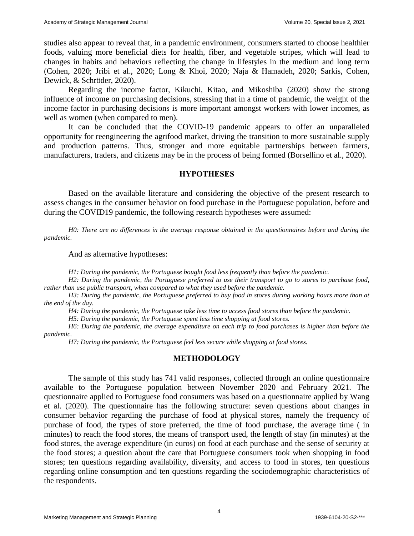studies also appear to reveal that, in a pandemic environment, consumers started to choose healthier foods, valuing more beneficial diets for health, fiber, and vegetable stripes, which will lead to changes in habits and behaviors reflecting the change in lifestyles in the medium and long term (Cohen, 2020; Jribi et al., 2020; Long & Khoi, 2020; Naja & Hamadeh, 2020; Sarkis, Cohen, Dewick, & Schröder, 2020).

Regarding the income factor, Kikuchi, Kitao, and Mikoshiba (2020) show the strong influence of income on purchasing decisions, stressing that in a time of pandemic, the weight of the income factor in purchasing decisions is more important amongst workers with lower incomes, as well as women (when compared to men).

It can be concluded that the COVID-19 pandemic appears to offer an unparalleled opportunity for reengineering the agrifood market, driving the transition to more sustainable supply and production patterns. Thus, stronger and more equitable partnerships between farmers, manufacturers, traders, and citizens may be in the process of being formed (Borsellino et al., 2020).

#### **HYPOTHESES**

Based on the available literature and considering the objective of the present research to assess changes in the consumer behavior on food purchase in the Portuguese population, before and during the COVID19 pandemic, the following research hypotheses were assumed:

*H0: There are no differences in the average response obtained in the questionnaires before and during the pandemic.*

And as alternative hypotheses:

*H1: During the pandemic, the Portuguese bought food less frequently than before the pandemic.*

*H2: During the pandemic, the Portuguese preferred to use their transport to go to stores to purchase food, rather than use public transport, when compared to what they used before the pandemic.*

*H3: During the pandemic, the Portuguese preferred to buy food in stores during working hours more than at the end of the day.*

*H4: During the pandemic, the Portuguese take less time to access food stores than before the pandemic.*

*H5: During the pandemic, the Portuguese spent less time shopping at food stores.*

*H6: During the pandemic, the average expenditure on each trip to food purchases is higher than before the pandemic.*

*H7: During the pandemic, the Portuguese feel less secure while shopping at food stores.*

# **METHODOLOGY**

The sample of this study has 741 valid responses, collected through an online questionnaire available to the Portuguese population between November 2020 and February 2021. The questionnaire applied to Portuguese food consumers was based on a questionnaire applied by Wang et al. (2020). The questionnaire has the following structure: seven questions about changes in consumer behavior regarding the purchase of food at physical stores, namely the frequency of purchase of food, the types of store preferred, the time of food purchase, the average time ( in minutes) to reach the food stores, the means of transport used, the length of stay (in minutes) at the food stores, the average expenditure (in euros) on food at each purchase and the sense of security at the food stores; a question about the care that Portuguese consumers took when shopping in food stores; ten questions regarding availability, diversity, and access to food in stores, ten questions regarding online consumption and ten questions regarding the sociodemographic characteristics of the respondents.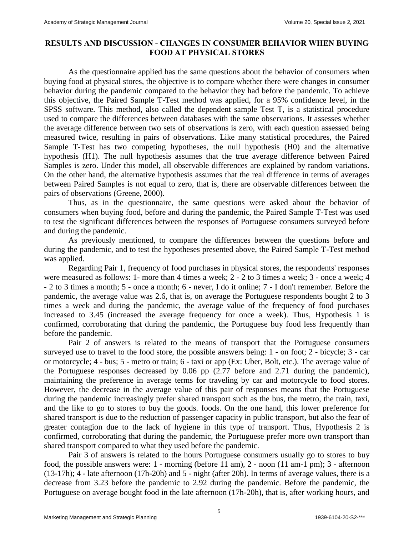# **RESULTS AND DISCUSSION - CHANGES IN CONSUMER BEHAVIOR WHEN BUYING FOOD AT PHYSICAL STORES**

As the questionnaire applied has the same questions about the behavior of consumers when buying food at physical stores, the objective is to compare whether there were changes in consumer behavior during the pandemic compared to the behavior they had before the pandemic. To achieve this objective, the Paired Sample T-Test method was applied, for a 95% confidence level, in the SPSS software. This method, also called the dependent sample Test T, is a statistical procedure used to compare the differences between databases with the same observations. It assesses whether the average difference between two sets of observations is zero, with each question assessed being measured twice, resulting in pairs of observations. Like many statistical procedures, the Paired Sample T-Test has two competing hypotheses, the null hypothesis (H0) and the alternative hypothesis (H1). The null hypothesis assumes that the true average difference between Paired Samples is zero. Under this model, all observable differences are explained by random variations. On the other hand, the alternative hypothesis assumes that the real difference in terms of averages between Paired Samples is not equal to zero, that is, there are observable differences between the pairs of observations (Greene, 2000).

Thus, as in the questionnaire, the same questions were asked about the behavior of consumers when buying food, before and during the pandemic, the Paired Sample T-Test was used to test the significant differences between the responses of Portuguese consumers surveyed before and during the pandemic.

As previously mentioned, to compare the differences between the questions before and during the pandemic, and to test the hypotheses presented above, the Paired Sample T-Test method was applied.

Regarding Pair 1, frequency of food purchases in physical stores, the respondents' responses were measured as follows: 1- more than 4 times a week; 2 - 2 to 3 times a week; 3 - once a week; 4 - 2 to 3 times a month; 5 - once a month; 6 - never, I do it online; 7 - I don't remember. Before the pandemic, the average value was 2.6, that is, on average the Portuguese respondents bought 2 to 3 times a week and during the pandemic, the average value of the frequency of food purchases increased to 3.45 (increased the average frequency for once a week). Thus, Hypothesis 1 is confirmed, corroborating that during the pandemic, the Portuguese buy food less frequently than before the pandemic.

Pair 2 of answers is related to the means of transport that the Portuguese consumers surveyed use to travel to the food store, the possible answers being: 1 - on foot; 2 - bicycle; 3 - car or motorcycle; 4 - bus; 5 - metro or train; 6 - taxi or app (Ex: Uber, Bolt, etc.). The average value of the Portuguese responses decreased by 0.06 pp (2.77 before and 2.71 during the pandemic), maintaining the preference in average terms for traveling by car and motorcycle to food stores. However, the decrease in the average value of this pair of responses means that the Portuguese during the pandemic increasingly prefer shared transport such as the bus, the metro, the train, taxi, and the like to go to stores to buy the goods. foods. On the one hand, this lower preference for shared transport is due to the reduction of passenger capacity in public transport, but also the fear of greater contagion due to the lack of hygiene in this type of transport. Thus, Hypothesis 2 is confirmed, corroborating that during the pandemic, the Portuguese prefer more own transport than shared transport compared to what they used before the pandemic.

Pair 3 of answers is related to the hours Portuguese consumers usually go to stores to buy food, the possible answers were: 1 - morning (before 11 am), 2 - noon (11 am-1 pm); 3 - afternoon (13-17h); 4 - late afternoon (17h-20h) and 5 - night (after 20h). In terms of average values, there is a decrease from 3.23 before the pandemic to 2.92 during the pandemic. Before the pandemic, the Portuguese on average bought food in the late afternoon (17h-20h), that is, after working hours, and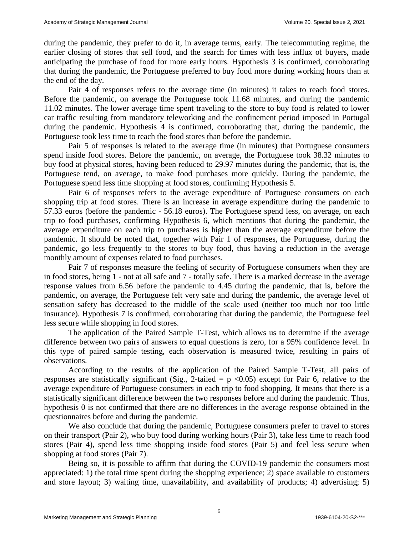during the pandemic, they prefer to do it, in average terms, early. The telecommuting regime, the earlier closing of stores that sell food, and the search for times with less influx of buyers, made anticipating the purchase of food for more early hours. Hypothesis 3 is confirmed, corroborating that during the pandemic, the Portuguese preferred to buy food more during working hours than at the end of the day.

Pair 4 of responses refers to the average time (in minutes) it takes to reach food stores. Before the pandemic, on average the Portuguese took 11.68 minutes, and during the pandemic 11.02 minutes. The lower average time spent traveling to the store to buy food is related to lower car traffic resulting from mandatory teleworking and the confinement period imposed in Portugal during the pandemic. Hypothesis 4 is confirmed, corroborating that, during the pandemic, the Portuguese took less time to reach the food stores than before the pandemic.

Pair 5 of responses is related to the average time (in minutes) that Portuguese consumers spend inside food stores. Before the pandemic, on average, the Portuguese took 38.32 minutes to buy food at physical stores, having been reduced to 29.97 minutes during the pandemic, that is, the Portuguese tend, on average, to make food purchases more quickly. During the pandemic, the Portuguese spend less time shopping at food stores, confirming Hypothesis 5.

Pair 6 of responses refers to the average expenditure of Portuguese consumers on each shopping trip at food stores. There is an increase in average expenditure during the pandemic to 57.33 euros (before the pandemic - 56.18 euros). The Portuguese spend less, on average, on each trip to food purchases, confirming Hypothesis 6, which mentions that during the pandemic, the average expenditure on each trip to purchases is higher than the average expenditure before the pandemic. It should be noted that, together with Pair 1 of responses, the Portuguese, during the pandemic, go less frequently to the stores to buy food, thus having a reduction in the average monthly amount of expenses related to food purchases.

Pair 7 of responses measure the feeling of security of Portuguese consumers when they are in food stores, being 1 - not at all safe and 7 - totally safe. There is a marked decrease in the average response values from 6.56 before the pandemic to 4.45 during the pandemic, that is, before the pandemic, on average, the Portuguese felt very safe and during the pandemic, the average level of sensation safety has decreased to the middle of the scale used (neither too much nor too little insurance). Hypothesis 7 is confirmed, corroborating that during the pandemic, the Portuguese feel less secure while shopping in food stores.

The application of the Paired Sample T-Test, which allows us to determine if the average difference between two pairs of answers to equal questions is zero, for a 95% confidence level. In this type of paired sample testing, each observation is measured twice, resulting in pairs of observations.

According to the results of the application of the Paired Sample T-Test, all pairs of responses are statistically significant (Sig., 2-tailed =  $p \le 0.05$ ) except for Pair 6, relative to the average expenditure of Portuguese consumers in each trip to food shopping. It means that there is a statistically significant difference between the two responses before and during the pandemic. Thus, hypothesis 0 is not confirmed that there are no differences in the average response obtained in the questionnaires before and during the pandemic.

We also conclude that during the pandemic, Portuguese consumers prefer to travel to stores on their transport (Pair 2), who buy food during working hours (Pair 3), take less time to reach food stores (Pair 4), spend less time shopping inside food stores (Pair 5) and feel less secure when shopping at food stores (Pair 7).

Being so, it is possible to affirm that during the COVID-19 pandemic the consumers most appreciated: 1) the total time spent during the shopping experience; 2) space available to customers and store layout; 3) waiting time, unavailability, and availability of products; 4) advertising; 5)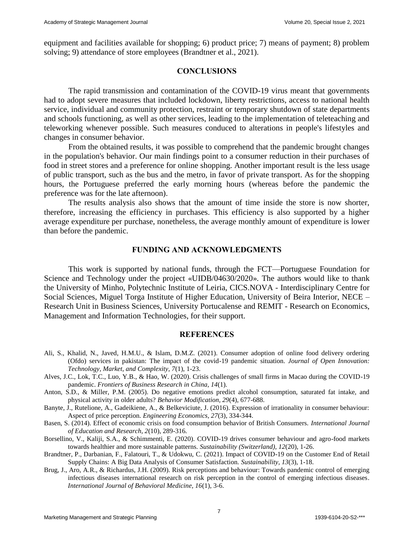equipment and facilities available for shopping; 6) product price; 7) means of payment; 8) problem solving; 9) attendance of store employees (Brandtner et al., 2021).

# **CONCLUSIONS**

The rapid transmission and contamination of the COVID-19 virus meant that governments had to adopt severe measures that included lockdown, liberty restrictions, access to national health service, individual and community protection, restraint or temporary shutdown of state departments and schools functioning, as well as other services, leading to the implementation of teleteaching and teleworking whenever possible. Such measures conduced to alterations in people's lifestyles and changes in consumer behavior.

From the obtained results, it was possible to comprehend that the pandemic brought changes in the population's behavior. Our main findings point to a consumer reduction in their purchases of food in street stores and a preference for online shopping. Another important result is the less usage of public transport, such as the bus and the metro, in favor of private transport. As for the shopping hours, the Portuguese preferred the early morning hours (whereas before the pandemic the preference was for the late afternoon).

The results analysis also shows that the amount of time inside the store is now shorter, therefore, increasing the efficiency in purchases. This efficiency is also supported by a higher average expenditure per purchase, nonetheless, the average monthly amount of expenditure is lower than before the pandemic.

# **FUNDING AND ACKNOWLEDGMENTS**

This work is supported by national funds, through the FCT—Portuguese Foundation for Science and Technology under the project «UIDB/04630/2020». The authors would like to thank the University of Minho, Polytechnic Institute of Leiria, CICS.NOVA - Interdisciplinary Centre for Social Sciences, Miguel Torga Institute of Higher Education, University of Beira Interior, NECE – Research Unit in Business Sciences, University Portucalense and REMIT - Research on Economics, Management and Information Technologies, for their support.

#### **REFERENCES**

- Ali, S., Khalid, N., Javed, H.M.U., & Islam, D.M.Z. (2021). Consumer adoption of online food delivery ordering (Ofdo) services in pakistan: The impact of the covid-19 pandemic situation. *Journal of Open Innovation: Technology, Market, and Complexity, 7*(1), 1-23.
- Alves, J.C., Lok, T.C., Luo, Y.B., & Hao, W. (2020). Crisis challenges of small firms in Macao during the COVID-19 pandemic. *Frontiers of Business Research in China, 14*(1).
- Anton, S.D., & Miller, P.M. (2005). Do negative emotions predict alcohol consumption, saturated fat intake, and physical activity in older adults? *Behavior Modification, 29*(4), 677-688.

Banyte, J., Rutelione, A., Gadeikiene, A., & Belkeviciute, J. (2016). Expression of irrationality in consumer behaviour: Aspect of price perception. *Engineering Economics, 27*(3), 334-344.

- Basen, S. (2014). Effect of economic crisis on food consumption behavior of British Consumers. *International Journal of Education and Research, 2*(10), 289-316.
- Borsellino, V., Kaliji, S.A., & Schimmenti, E. (2020). COVID-19 drives consumer behaviour and agro-food markets towards healthier and more sustainable patterns. *Sustainability (Switzerland), 12*(20), 1-26.
- Brandtner, P., Darbanian, F., Falatouri, T., & Udokwu, C. (2021). Impact of COVID-19 on the Customer End of Retail Supply Chains: A Big Data Analysis of Consumer Satisfaction. *Sustainability, 13*(3), 1-18.
- Brug, J., Aro, A.R., & Richardus, J.H. (2009). Risk perceptions and behaviour: Towards pandemic control of emerging infectious diseases international research on risk perception in the control of emerging infectious diseases. *International Journal of Behavioral Medicine, 16*(1), 3-6.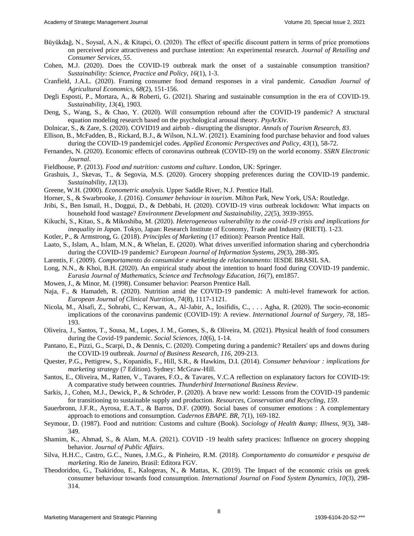- Büyükdağ, N., Soysal, A.N., & Kitapci, O. (2020). The effect of specific discount pattern in terms of price promotions on perceived price attractiveness and purchase intention: An experimental research. *Journal of Retailing and Consumer Services, 55*.
- Cohen, M.J. (2020). Does the COVID-19 outbreak mark the onset of a sustainable consumption transition? *Sustainability: Science, Practice and Policy, 16*(1), 1-3.
- Cranfield, J.A.L. (2020). Framing consumer food demand responses in a viral pandemic. *Canadian Journal of Agricultural Economics, 68*(2), 151-156.
- Degli Esposti, P., Mortara, A., & Roberti, G. (2021). Sharing and sustainable consumption in the era of COVID-19. *Sustainability, 13*(4), 1903.
- Deng, S., Wang, S., & Chao, Y. (2020). Will consumption rebound after the COVID-19 pandemic? A structural equation modeling research based on the psychological arousal theory. *PsyArXiv*.
- Dolnicar, S., & Zare, S. (2020). COVID19 and airbnb disrupting the disruptor. *Annals of Tourism Research, 83*.
- Ellison, B., McFadden, B., Rickard, B.J., & Wilson, N.L.W. (2021). Examining food purchase behavior and food values during the COVID-19 pandemicjel codes. *Applied Economic Perspectives and Policy, 43*(1), 58-72.
- Fernandes, N. (2020). Economic effects of coronavirus outbreak (COVID-19) on the world economy. *SSRN Electronic Journal*.
- Fieldhouse, P. (2013). *Food and nutrition: customs and culture*. London, UK: Springer.
- Grashuis, J., Skevas, T., & Segovia, M.S. (2020). Grocery shopping preferences during the COVID-19 pandemic. *Sustainability, 12*(13).
- Greene, W.H. (2000). *Econometric analysis*. Upper Saddle River, N.J. Prentice Hall.
- Horner, S., & Swarbrooke, J. (2016). *Consumer behaviour in tourism*. Milton Park, New York, USA: Routledge.
- Jribi, S., Ben Ismail, H., Doggui, D., & Debbabi, H. (2020). COVID-19 virus outbreak lockdown: What impacts on household food wastage? *Environment Development and Sustainability, 22*(5), 3939-3955.
- Kikuchi, S., Kitao, S., & Mikoshiba, M. (2020). *Heterogeneous vulnerability to the covid-19 crisis and implications for inequality in Japan*. Tokyo, Japan: Research Institute of Economy, Trade and Industry (RIETI). 1-23.
- Kotler, P., & Armstrong, G. (2018). *Principles of Marketing* (17 edition): Pearson Prentice Hall.
- Laato, S., Islam, A., Islam, M.N., & Whelan, E. (2020). What drives unverified information sharing and cyberchondria during the COVID-19 pandemic? *European Journal of Information Systems, 29*(3), 288-305.
- Larentis, F. (2009). *Comportamento do consumidor e marketing de relacionamento*: IESDE BRASIL SA.
- Long, N.N., & Khoi, B.H. (2020). An empirical study about the intention to hoard food during COVID-19 pandemic. *Eurasia Journal of Mathematics, Science and Technology Education, 16*(7), em1857.
- Mowen, J., & Minor, M. (1998). Consumer behavior: Pearson Prentice Hall.
- Naja, F., & Hamadeh, R. (2020). Nutrition amid the COVID-19 pandemic: A multi-level framework for action. *European Journal of Clinical Nutrition, 74*(8), 1117-1121.
- Nicola, M., Alsafi, Z., Sohrabi, C., Kerwan, A., Al-Jabir, A., Iosifidis, C., . . . Agha, R. (2020). The socio-economic implications of the coronavirus pandemic (COVID-19): A review. *International Journal of Surgery, 78*, 185- 193.
- Oliveira, J., Santos, T., Sousa, M., Lopes, J. M., Gomes, S., & Oliveira, M. (2021). Physical health of food consumers during the Covid-19 pandemic. *Social Sciences, 10*(6), 1-14.
- Pantano, E., Pizzi, G., Scarpi, D., & Dennis, C. (2020). Competing during a pandemic? Retailers' ups and downs during the COVID-19 outbreak. *Journal of Business Research, 116*, 209-213.
- Quester, P.G., Pettigrew, S., Kopanidis, F., Hill, S.R., & Hawkins, D.I. (2014). *Consumer behaviour : implications for marketing strategy* (7 Edition). Sydney: McGraw-Hill.
- Santos, E., Oliveira, M., Ratten, V., Tavares, F.O., & Tavares, V.C.A reflection on explanatory factors for COVID-19: A comparative study between countries. *Thunderbird International Business Review*.
- Sarkis, J., Cohen, M.J., Dewick, P., & Schröder, P. (2020). A brave new world: Lessons from the COVID-19 pandemic for transitioning to sustainable supply and production. *Resources, Conservation and Recycling, 159*.
- Sauerbronn, J.F.R., Ayrosa, E.A.T., & Barros, D.F. (2009). Social bases of consumer emotions : A complementary approach to emotions and consumption. *Cadernos EBAPE. BR, 7*(1), 169-182.
- Seymour, D. (1987). Food and nutrition: Customs and culture (Book). *Sociology of Health & amp*; Illness, 9(3), 348-349.
- Shamim, K., Ahmad, S., & Alam, M.A. (2021). COVID ‐19 health safety practices: Influence on grocery shopping behavior. *Journal of Public Affairs*.
- Silva, H.H.C., Castro, G.C., Nunes, J.M.G., & Pinheiro, R.M. (2018). *Comportamento do consumidor e pesquisa de marketing*. Rio de Janeiro, Brasil: Editora FGV.
- Theodoridou, G., Tsakiridou, E., Kalogeras, N., & Mattas, K. (2019). The Impact of the economic crisis on greek consumer behaviour towards food consumption. *International Journal on Food System Dynamics, 10*(3), 298- 314.